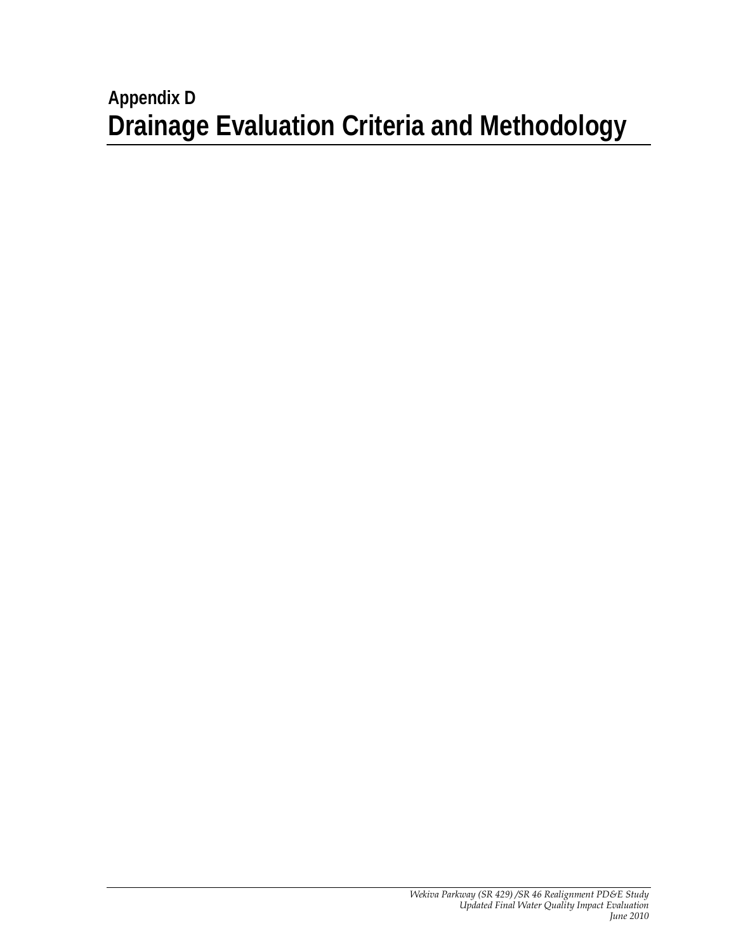# **Appendix D Drainage Evaluation Criteria and Methodology**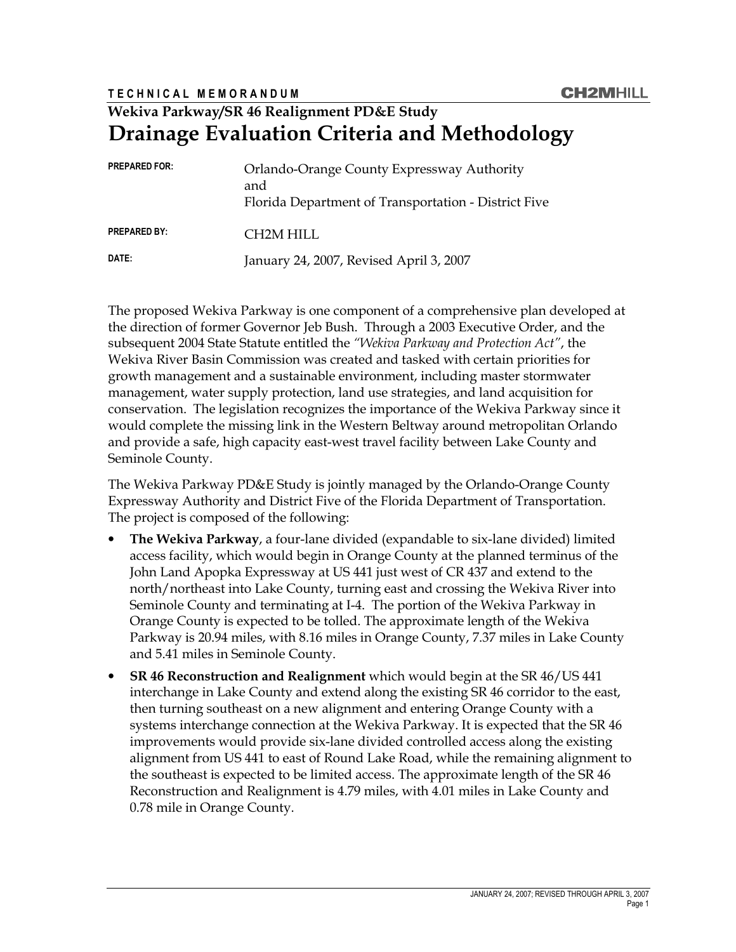### T E C H N I C A L M E M O R A N D U M

## Wekiva Parkway/SR 46 Realignment PD&E Study Drainage Evaluation Criteria and Methodology

| <b>PREPARED FOR:</b> | Orlando-Orange County Expressway Authority<br>and<br>Florida Department of Transportation - District Five |
|----------------------|-----------------------------------------------------------------------------------------------------------|
| <b>PREPARED BY:</b>  | CH2M HILL                                                                                                 |
| DATE:                | January 24, 2007, Revised April 3, 2007                                                                   |

The proposed Wekiva Parkway is one component of a comprehensive plan developed at the direction of former Governor Jeb Bush. Through a 2003 Executive Order, and the subsequent 2004 State Statute entitled the "Wekiva Parkway and Protection Act", the Wekiva River Basin Commission was created and tasked with certain priorities for growth management and a sustainable environment, including master stormwater management, water supply protection, land use strategies, and land acquisition for conservation. The legislation recognizes the importance of the Wekiva Parkway since it would complete the missing link in the Western Beltway around metropolitan Orlando and provide a safe, high capacity east-west travel facility between Lake County and Seminole County.

The Wekiva Parkway PD&E Study is jointly managed by the Orlando-Orange County Expressway Authority and District Five of the Florida Department of Transportation. The project is composed of the following:

- The Wekiva Parkway, a four-lane divided (expandable to six-lane divided) limited access facility, which would begin in Orange County at the planned terminus of the John Land Apopka Expressway at US 441 just west of CR 437 and extend to the north/northeast into Lake County, turning east and crossing the Wekiva River into Seminole County and terminating at I-4. The portion of the Wekiva Parkway in Orange County is expected to be tolled. The approximate length of the Wekiva Parkway is 20.94 miles, with 8.16 miles in Orange County, 7.37 miles in Lake County and 5.41 miles in Seminole County.
- SR 46 Reconstruction and Realignment which would begin at the SR 46/US 441 interchange in Lake County and extend along the existing SR 46 corridor to the east, then turning southeast on a new alignment and entering Orange County with a systems interchange connection at the Wekiva Parkway. It is expected that the SR 46 improvements would provide six-lane divided controlled access along the existing alignment from US 441 to east of Round Lake Road, while the remaining alignment to the southeast is expected to be limited access. The approximate length of the SR 46 Reconstruction and Realignment is 4.79 miles, with 4.01 miles in Lake County and 0.78 mile in Orange County.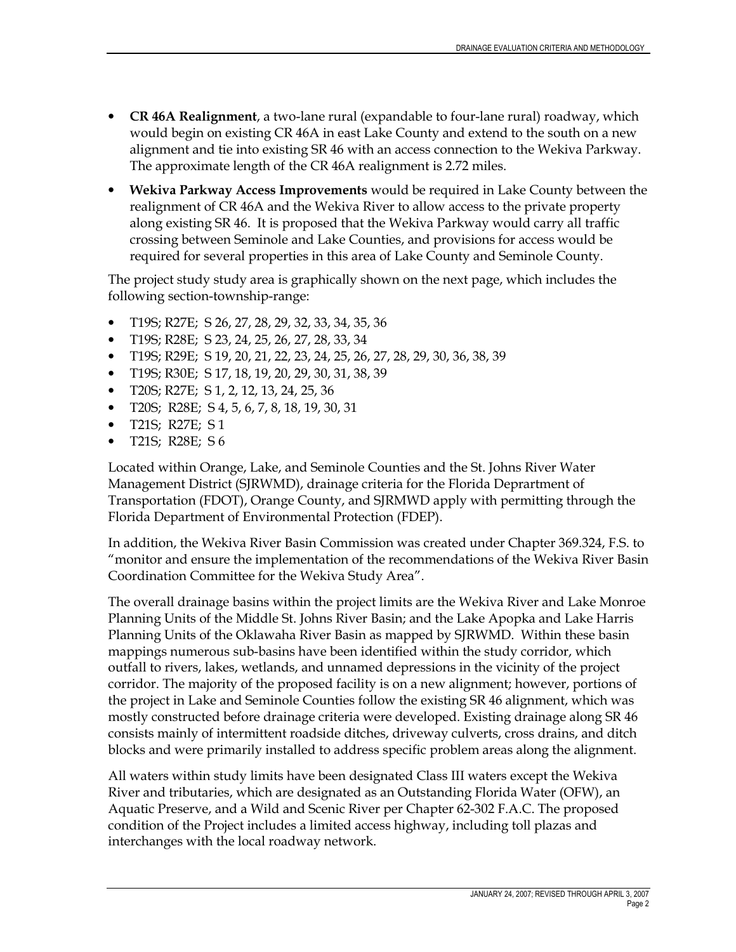- CR 46A Realignment, a two-lane rural (expandable to four-lane rural) roadway, which would begin on existing CR 46A in east Lake County and extend to the south on a new alignment and tie into existing SR 46 with an access connection to the Wekiva Parkway. The approximate length of the CR 46A realignment is 2.72 miles.
- Wekiva Parkway Access Improvements would be required in Lake County between the realignment of CR 46A and the Wekiva River to allow access to the private property along existing SR 46. It is proposed that the Wekiva Parkway would carry all traffic crossing between Seminole and Lake Counties, and provisions for access would be required for several properties in this area of Lake County and Seminole County.

The project study study area is graphically shown on the next page, which includes the following section-township-range:

- T19S; R27E; S 26, 27, 28, 29, 32, 33, 34, 35, 36
- T19S; R28E; S 23, 24, 25, 26, 27, 28, 33, 34
- T19S; R29E; S 19, 20, 21, 22, 23, 24, 25, 26, 27, 28, 29, 30, 36, 38, 39
- T19S; R30E; S 17, 18, 19, 20, 29, 30, 31, 38, 39
- T20S; R27E; S 1, 2, 12, 13, 24, 25, 36
- T20S; R28E; S 4, 5, 6, 7, 8, 18, 19, 30, 31
- T21S; R27E; S 1
- T21S; R28E; S 6

Located within Orange, Lake, and Seminole Counties and the St. Johns River Water Management District (SJRWMD), drainage criteria for the Florida Deprartment of Transportation (FDOT), Orange County, and SJRMWD apply with permitting through the Florida Department of Environmental Protection (FDEP).

In addition, the Wekiva River Basin Commission was created under Chapter 369.324, F.S. to "monitor and ensure the implementation of the recommendations of the Wekiva River Basin Coordination Committee for the Wekiva Study Area".

The overall drainage basins within the project limits are the Wekiva River and Lake Monroe Planning Units of the Middle St. Johns River Basin; and the Lake Apopka and Lake Harris Planning Units of the Oklawaha River Basin as mapped by SJRWMD. Within these basin mappings numerous sub-basins have been identified within the study corridor, which outfall to rivers, lakes, wetlands, and unnamed depressions in the vicinity of the project corridor. The majority of the proposed facility is on a new alignment; however, portions of the project in Lake and Seminole Counties follow the existing SR 46 alignment, which was mostly constructed before drainage criteria were developed. Existing drainage along SR 46 consists mainly of intermittent roadside ditches, driveway culverts, cross drains, and ditch blocks and were primarily installed to address specific problem areas along the alignment.

All waters within study limits have been designated Class III waters except the Wekiva River and tributaries, which are designated as an Outstanding Florida Water (OFW), an Aquatic Preserve, and a Wild and Scenic River per Chapter 62-302 F.A.C. The proposed condition of the Project includes a limited access highway, including toll plazas and interchanges with the local roadway network.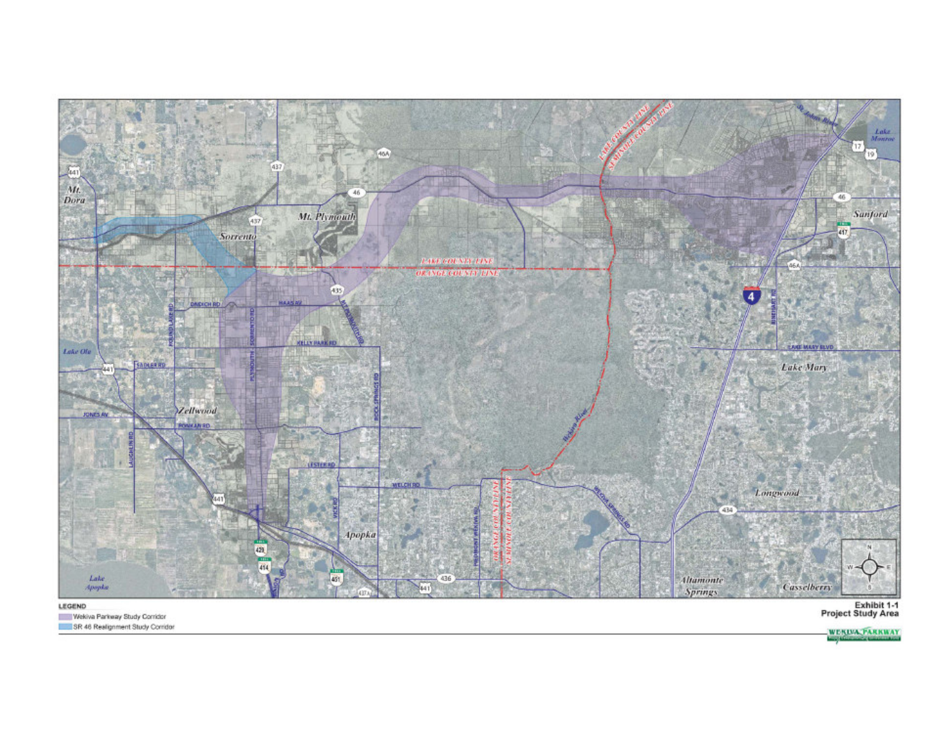

#### LEGEND

Wekiva Parkway Study Corridor SR 46 Realignment Study Corridor Exhibit 1-1<br>Project Study Area

WERDA PARKWAY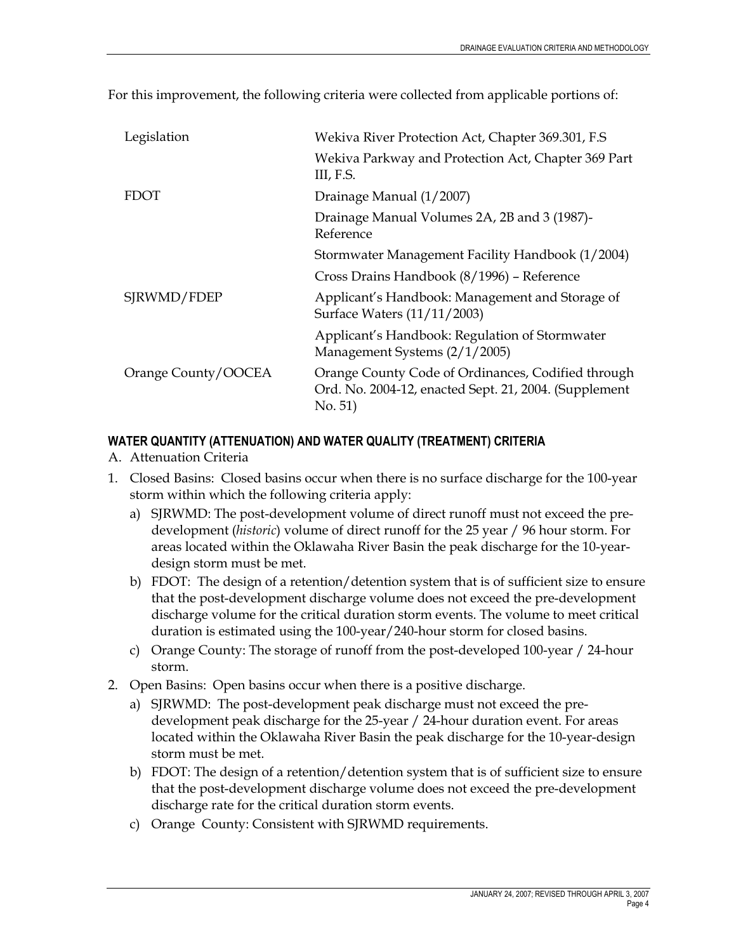| Legislation         | Wekiva River Protection Act, Chapter 369.301, F.S                                                                      |
|---------------------|------------------------------------------------------------------------------------------------------------------------|
|                     | Wekiva Parkway and Protection Act, Chapter 369 Part<br>III, F.S.                                                       |
| <b>FDOT</b>         | Drainage Manual (1/2007)                                                                                               |
|                     | Drainage Manual Volumes 2A, 2B and 3 (1987)-<br>Reference                                                              |
|                     | Stormwater Management Facility Handbook (1/2004)                                                                       |
|                     | Cross Drains Handbook (8/1996) – Reference                                                                             |
| SJRWMD/FDEP         | Applicant's Handbook: Management and Storage of<br>Surface Waters (11/11/2003)                                         |
|                     | Applicant's Handbook: Regulation of Stormwater<br>Management Systems (2/1/2005)                                        |
| Orange County/OOCEA | Orange County Code of Ordinances, Codified through<br>Ord. No. 2004-12, enacted Sept. 21, 2004. (Supplement<br>No. 51) |

For this improvement, the following criteria were collected from applicable portions of:

## WATER QUANTITY (ATTENUATION) AND WATER QUALITY (TREATMENT) CRITERIA

- A. Attenuation Criteria
- 1. Closed Basins: Closed basins occur when there is no surface discharge for the 100-year storm within which the following criteria apply:
	- a) SJRWMD: The post-development volume of direct runoff must not exceed the predevelopment (historic) volume of direct runoff for the 25 year / 96 hour storm. For areas located within the Oklawaha River Basin the peak discharge for the 10-yeardesign storm must be met.
	- b) FDOT: The design of a retention/detention system that is of sufficient size to ensure that the post-development discharge volume does not exceed the pre-development discharge volume for the critical duration storm events. The volume to meet critical duration is estimated using the 100-year/240-hour storm for closed basins.
	- c) Orange County: The storage of runoff from the post-developed 100-year / 24-hour storm.
- 2. Open Basins: Open basins occur when there is a positive discharge.
	- a) SJRWMD: The post-development peak discharge must not exceed the predevelopment peak discharge for the 25-year / 24-hour duration event. For areas located within the Oklawaha River Basin the peak discharge for the 10-year-design storm must be met.
	- b) FDOT: The design of a retention/detention system that is of sufficient size to ensure that the post-development discharge volume does not exceed the pre-development discharge rate for the critical duration storm events.
	- c) Orange County: Consistent with SJRWMD requirements.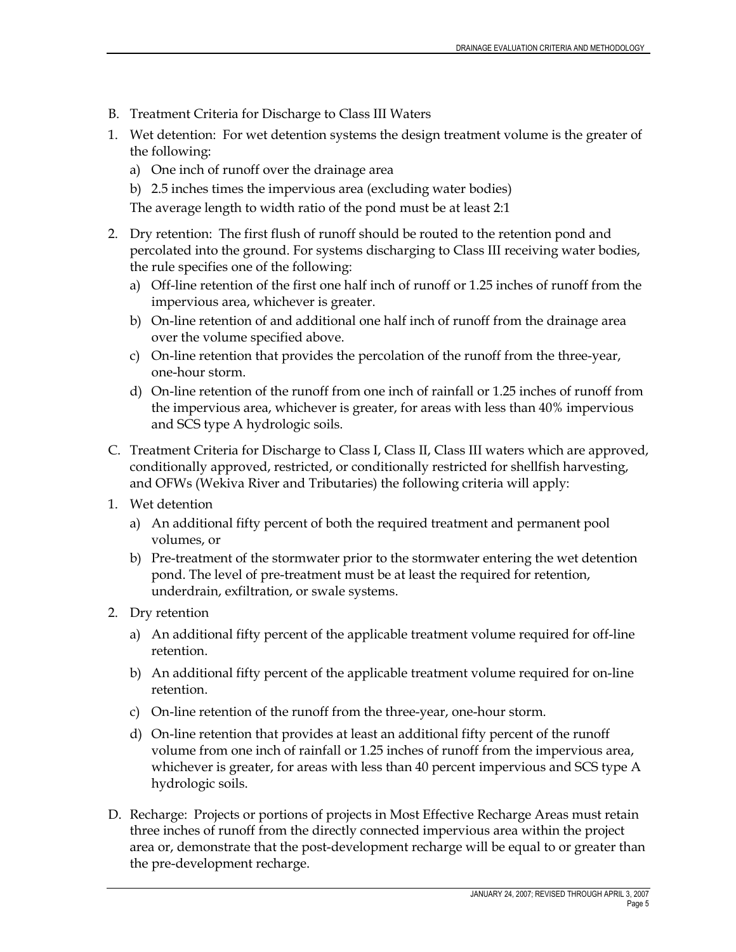- B. Treatment Criteria for Discharge to Class III Waters
- 1. Wet detention: For wet detention systems the design treatment volume is the greater of the following:
	- a) One inch of runoff over the drainage area
	- b) 2.5 inches times the impervious area (excluding water bodies)

The average length to width ratio of the pond must be at least 2:1

- 2. Dry retention: The first flush of runoff should be routed to the retention pond and percolated into the ground. For systems discharging to Class III receiving water bodies, the rule specifies one of the following:
	- a) Off-line retention of the first one half inch of runoff or 1.25 inches of runoff from the impervious area, whichever is greater.
	- b) On-line retention of and additional one half inch of runoff from the drainage area over the volume specified above.
	- c) On-line retention that provides the percolation of the runoff from the three-year, one-hour storm.
	- d) On-line retention of the runoff from one inch of rainfall or 1.25 inches of runoff from the impervious area, whichever is greater, for areas with less than 40% impervious and SCS type A hydrologic soils.
- C. Treatment Criteria for Discharge to Class I, Class II, Class III waters which are approved, conditionally approved, restricted, or conditionally restricted for shellfish harvesting, and OFWs (Wekiva River and Tributaries) the following criteria will apply:
- 1. Wet detention
	- a) An additional fifty percent of both the required treatment and permanent pool volumes, or
	- b) Pre-treatment of the stormwater prior to the stormwater entering the wet detention pond. The level of pre-treatment must be at least the required for retention, underdrain, exfiltration, or swale systems.
- 2. Dry retention
	- a) An additional fifty percent of the applicable treatment volume required for off-line retention.
	- b) An additional fifty percent of the applicable treatment volume required for on-line retention.
	- c) On-line retention of the runoff from the three-year, one-hour storm.
	- d) On-line retention that provides at least an additional fifty percent of the runoff volume from one inch of rainfall or 1.25 inches of runoff from the impervious area, whichever is greater, for areas with less than 40 percent impervious and SCS type A hydrologic soils.
- D. Recharge: Projects or portions of projects in Most Effective Recharge Areas must retain three inches of runoff from the directly connected impervious area within the project area or, demonstrate that the post-development recharge will be equal to or greater than the pre-development recharge.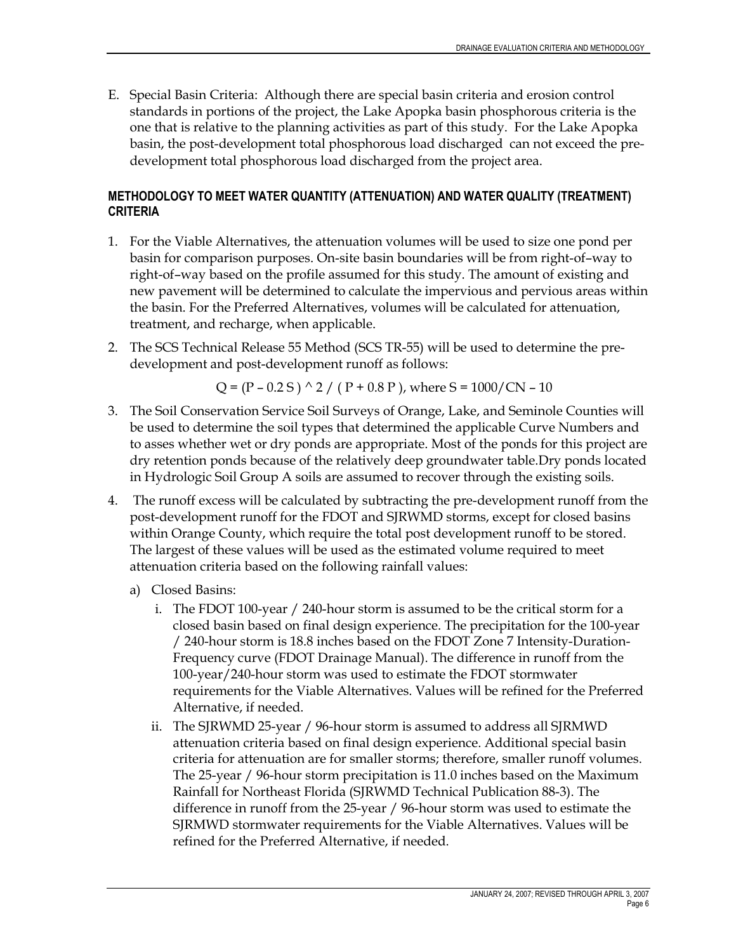E. Special Basin Criteria: Although there are special basin criteria and erosion control standards in portions of the project, the Lake Apopka basin phosphorous criteria is the one that is relative to the planning activities as part of this study. For the Lake Apopka basin, the post-development total phosphorous load discharged can not exceed the predevelopment total phosphorous load discharged from the project area.

## METHODOLOGY TO MEET WATER QUANTITY (ATTENUATION) AND WATER QUALITY (TREATMENT) **CRITERIA**

- 1. For the Viable Alternatives, the attenuation volumes will be used to size one pond per basin for comparison purposes. On-site basin boundaries will be from right-of–way to right-of–way based on the profile assumed for this study. The amount of existing and new pavement will be determined to calculate the impervious and pervious areas within the basin. For the Preferred Alternatives, volumes will be calculated for attenuation, treatment, and recharge, when applicable.
- 2. The SCS Technical Release 55 Method (SCS TR-55) will be used to determine the predevelopment and post-development runoff as follows:

Q = (P – 0.2 S) 
$$
\wedge
$$
 2 / (P + 0.8 P), where S = 1000/CN – 10

- 3. The Soil Conservation Service Soil Surveys of Orange, Lake, and Seminole Counties will be used to determine the soil types that determined the applicable Curve Numbers and to asses whether wet or dry ponds are appropriate. Most of the ponds for this project are dry retention ponds because of the relatively deep groundwater table.Dry ponds located in Hydrologic Soil Group A soils are assumed to recover through the existing soils.
- 4. The runoff excess will be calculated by subtracting the pre-development runoff from the post-development runoff for the FDOT and SJRWMD storms, except for closed basins within Orange County, which require the total post development runoff to be stored. The largest of these values will be used as the estimated volume required to meet attenuation criteria based on the following rainfall values:
	- a) Closed Basins:
		- i. The FDOT 100-year / 240-hour storm is assumed to be the critical storm for a closed basin based on final design experience. The precipitation for the 100-year / 240-hour storm is 18.8 inches based on the FDOT Zone 7 Intensity-Duration-Frequency curve (FDOT Drainage Manual). The difference in runoff from the 100-year/240-hour storm was used to estimate the FDOT stormwater requirements for the Viable Alternatives. Values will be refined for the Preferred Alternative, if needed.
		- ii. The SJRWMD 25-year / 96-hour storm is assumed to address all SJRMWD attenuation criteria based on final design experience. Additional special basin criteria for attenuation are for smaller storms; therefore, smaller runoff volumes. The 25-year / 96-hour storm precipitation is 11.0 inches based on the Maximum Rainfall for Northeast Florida (SJRWMD Technical Publication 88-3). The difference in runoff from the 25-year / 96-hour storm was used to estimate the SJRMWD stormwater requirements for the Viable Alternatives. Values will be refined for the Preferred Alternative, if needed.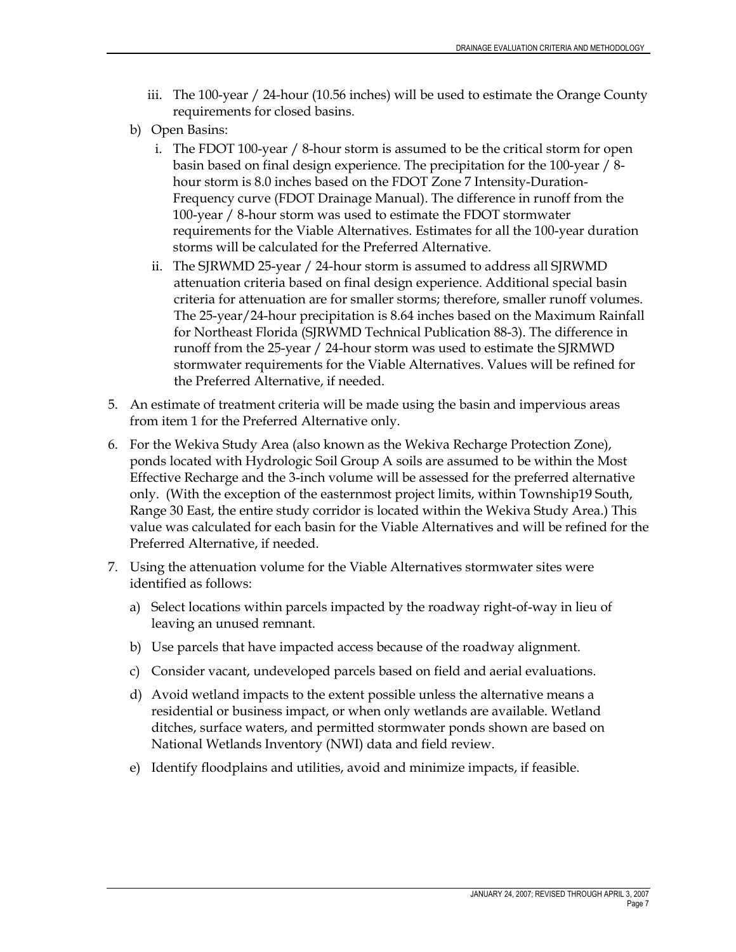- iii. The 100-year / 24-hour (10.56 inches) will be used to estimate the Orange County requirements for closed basins.
- b) Open Basins:
	- i. The FDOT 100-year / 8-hour storm is assumed to be the critical storm for open basin based on final design experience. The precipitation for the 100-year / 8 hour storm is 8.0 inches based on the FDOT Zone 7 Intensity-Duration-Frequency curve (FDOT Drainage Manual). The difference in runoff from the 100-year / 8-hour storm was used to estimate the FDOT stormwater requirements for the Viable Alternatives. Estimates for all the 100-year duration storms will be calculated for the Preferred Alternative.
	- ii. The SJRWMD 25-year / 24-hour storm is assumed to address all SJRWMD attenuation criteria based on final design experience. Additional special basin criteria for attenuation are for smaller storms; therefore, smaller runoff volumes. The 25-year/24-hour precipitation is 8.64 inches based on the Maximum Rainfall for Northeast Florida (SJRWMD Technical Publication 88-3). The difference in runoff from the 25-year / 24-hour storm was used to estimate the SJRMWD stormwater requirements for the Viable Alternatives. Values will be refined for the Preferred Alternative, if needed.
- 5. An estimate of treatment criteria will be made using the basin and impervious areas from item 1 for the Preferred Alternative only.
- 6. For the Wekiva Study Area (also known as the Wekiva Recharge Protection Zone), ponds located with Hydrologic Soil Group A soils are assumed to be within the Most Effective Recharge and the 3-inch volume will be assessed for the preferred alternative only. (With the exception of the easternmost project limits, within Township19 South, Range 30 East, the entire study corridor is located within the Wekiva Study Area.) This value was calculated for each basin for the Viable Alternatives and will be refined for the Preferred Alternative, if needed.
- 7. Using the attenuation volume for the Viable Alternatives stormwater sites were identified as follows:
	- a) Select locations within parcels impacted by the roadway right-of-way in lieu of leaving an unused remnant.
	- b) Use parcels that have impacted access because of the roadway alignment.
	- c) Consider vacant, undeveloped parcels based on field and aerial evaluations.
	- d) Avoid wetland impacts to the extent possible unless the alternative means a residential or business impact, or when only wetlands are available. Wetland ditches, surface waters, and permitted stormwater ponds shown are based on National Wetlands Inventory (NWI) data and field review.
	- e) Identify floodplains and utilities, avoid and minimize impacts, if feasible.